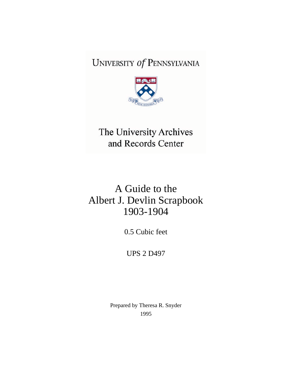# UNIVERSITY Of PENNSYLVANIA



# The University Archives and Records Center

# A Guide to the Albert J. Devlin Scrapbook 1903-1904

0.5 Cubic feet

UPS 2 D497

Prepared by Theresa R. Snyder 1995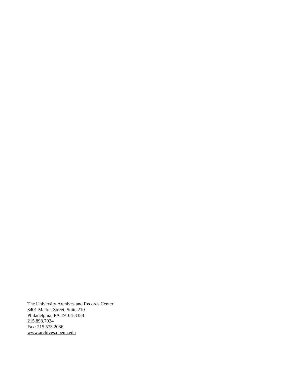The University Archives and Records Center 3401 Market Street, Suite 210 Philadelphia, PA 19104-3358 215.898.7024 Fax: 215.573.2036 [www.archives.upenn.edu](http://www.archives.upenn.edu)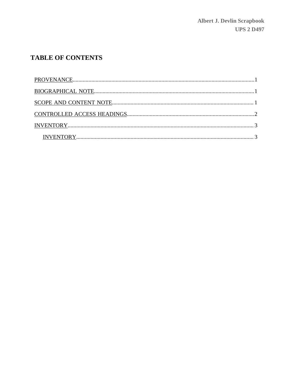## **TABLE OF CONTENTS**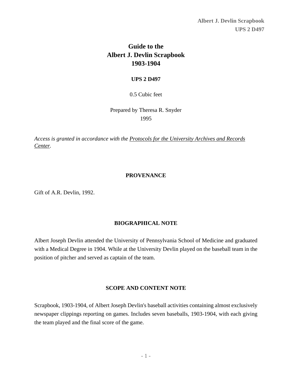**Albert J. Devlin Scrapbook UPS 2 D497**

## **Guide to the Albert J. Devlin Scrapbook 1903-1904**

#### **UPS 2 D497**

#### 0.5 Cubic feet

Prepared by Theresa R. Snyder 1995

*Access is granted in accordance with the [Protocols for the University Archives and Records](http://www.archives.upenn.edu/home/protocols.html) [Center.](http://www.archives.upenn.edu/home/protocols.html)*

#### **PROVENANCE**

<span id="page-3-0"></span>Gift of A.R. Devlin, 1992.

#### **BIOGRAPHICAL NOTE**

<span id="page-3-1"></span>Albert Joseph Devlin attended the University of Pennsylvania School of Medicine and graduated with a Medical Degree in 1904. While at the University Devlin played on the baseball team in the position of pitcher and served as captain of the team.

#### **SCOPE AND CONTENT NOTE**

<span id="page-3-2"></span>Scrapbook, 1903-1904, of Albert Joseph Devlin's baseball activities containing almost exclusively newspaper clippings reporting on games. Includes seven baseballs, 1903-1904, with each giving the team played and the final score of the game.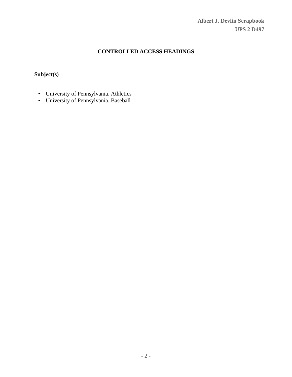**Albert J. Devlin Scrapbook UPS 2 D497**

### **CONTROLLED ACCESS HEADINGS**

### <span id="page-4-0"></span>**Subject(s)**

- University of Pennsylvania. Athletics
- University of Pennsylvania. Baseball